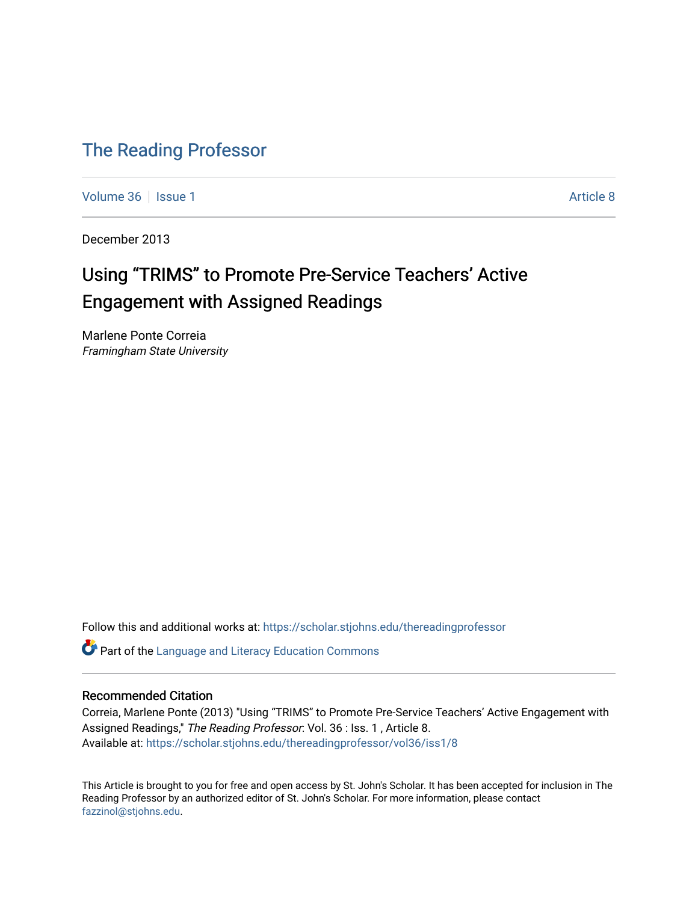# [The Reading Professor](https://scholar.stjohns.edu/thereadingprofessor)

[Volume 36](https://scholar.stjohns.edu/thereadingprofessor/vol36) | [Issue 1](https://scholar.stjohns.edu/thereadingprofessor/vol36/iss1) Article 8

December 2013

# Using "TRIMS" to Promote Pre-Service Teachers' Active Engagement with Assigned Readings

Marlene Ponte Correia Framingham State University

Follow this and additional works at: [https://scholar.stjohns.edu/thereadingprofessor](https://scholar.stjohns.edu/thereadingprofessor?utm_source=scholar.stjohns.edu%2Fthereadingprofessor%2Fvol36%2Fiss1%2F8&utm_medium=PDF&utm_campaign=PDFCoverPages) 

Part of the [Language and Literacy Education Commons](http://network.bepress.com/hgg/discipline/1380?utm_source=scholar.stjohns.edu%2Fthereadingprofessor%2Fvol36%2Fiss1%2F8&utm_medium=PDF&utm_campaign=PDFCoverPages) 

# Recommended Citation

Correia, Marlene Ponte (2013) "Using "TRIMS" to Promote Pre-Service Teachers' Active Engagement with Assigned Readings," The Reading Professor: Vol. 36 : Iss. 1, Article 8. Available at: [https://scholar.stjohns.edu/thereadingprofessor/vol36/iss1/8](https://scholar.stjohns.edu/thereadingprofessor/vol36/iss1/8?utm_source=scholar.stjohns.edu%2Fthereadingprofessor%2Fvol36%2Fiss1%2F8&utm_medium=PDF&utm_campaign=PDFCoverPages) 

This Article is brought to you for free and open access by St. John's Scholar. It has been accepted for inclusion in The Reading Professor by an authorized editor of St. John's Scholar. For more information, please contact [fazzinol@stjohns.edu](mailto:fazzinol@stjohns.edu).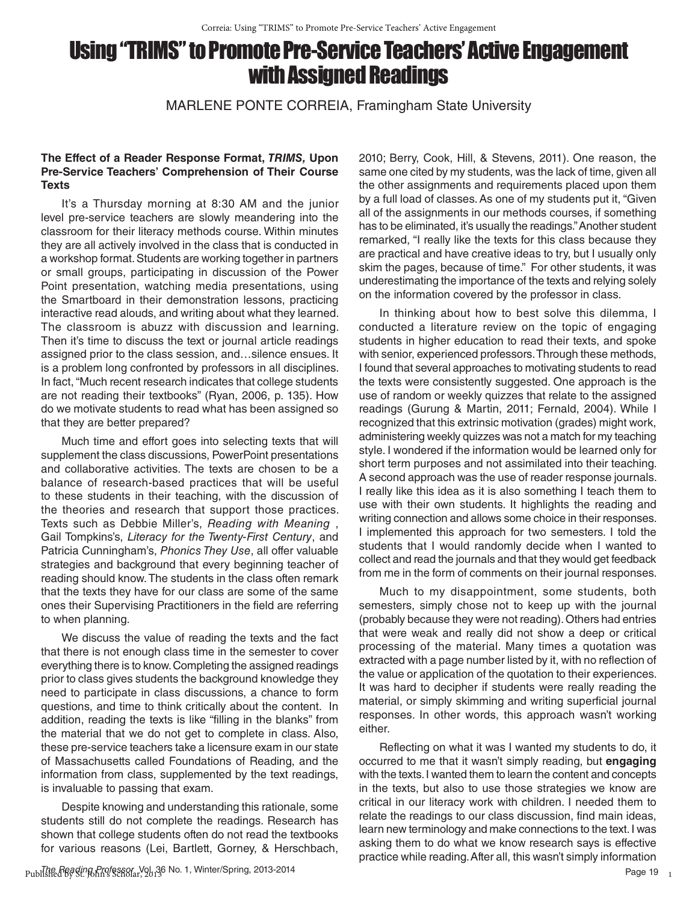# Using "TRIMS" to Promote Pre-Service Teachers' Active Engagement with Assigned Readings

MARLENE PONTE CORREIA, Framingham State University

# **The Effect of a Reader Response Format,** *TRIMS,* **Upon Pre-Service Teachers' Comprehension of Their Course Texts**

It's a Thursday morning at 8:30 AM and the junior level pre-service teachers are slowly meandering into the classroom for their literacy methods course. Within minutes they are all actively involved in the class that is conducted in a workshop format. Students are working together in partners or small groups, participating in discussion of the Power Point presentation, watching media presentations, using the Smartboard in their demonstration lessons, practicing interactive read alouds, and writing about what they learned. The classroom is abuzz with discussion and learning. Then it's time to discuss the text or journal article readings assigned prior to the class session, and…silence ensues. It is a problem long confronted by professors in all disciplines. In fact, "Much recent research indicates that college students are not reading their textbooks" (Ryan, 2006, p. 135). How do we motivate students to read what has been assigned so that they are better prepared?

Much time and effort goes into selecting texts that will supplement the class discussions, PowerPoint presentations and collaborative activities. The texts are chosen to be a balance of research-based practices that will be useful to these students in their teaching, with the discussion of the theories and research that support those practices. Texts such as Debbie Miller's, *Reading with Meaning* , Gail Tompkins's, *Literacy for the Twenty-First Century*, and Patricia Cunningham's, *Phonics They Use*, all offer valuable strategies and background that every beginning teacher of reading should know. The students in the class often remark that the texts they have for our class are some of the same ones their Supervising Practitioners in the field are referring to when planning.

We discuss the value of reading the texts and the fact that there is not enough class time in the semester to cover everything there is to know. Completing the assigned readings prior to class gives students the background knowledge they need to participate in class discussions, a chance to form questions, and time to think critically about the content. In addition, reading the texts is like "filling in the blanks" from the material that we do not get to complete in class. Also, these pre-service teachers take a licensure exam in our state of Massachusetts called Foundations of Reading, and the information from class, supplemented by the text readings, is invaluable to passing that exam.

Despite knowing and understanding this rationale, some students still do not complete the readings. Research has shown that college students often do not read the textbooks for various reasons (Lei, Bartlett, Gorney, & Herschbach,

2010; Berry, Cook, Hill, & Stevens, 2011). One reason, the same one cited by my students, was the lack of time, given all the other assignments and requirements placed upon them by a full load of classes. As one of my students put it, "Given all of the assignments in our methods courses, if something has to be eliminated, it's usually the readings." Another student remarked, "I really like the texts for this class because they are practical and have creative ideas to try, but I usually only skim the pages, because of time." For other students, it was underestimating the importance of the texts and relying solely on the information covered by the professor in class.

In thinking about how to best solve this dilemma, I conducted a literature review on the topic of engaging students in higher education to read their texts, and spoke with senior, experienced professors. Through these methods, I found that several approaches to motivating students to read the texts were consistently suggested. One approach is the use of random or weekly quizzes that relate to the assigned readings (Gurung & Martin, 2011; Fernald, 2004). While I recognized that this extrinsic motivation (grades) might work, administering weekly quizzes was not a match for my teaching style. I wondered if the information would be learned only for short term purposes and not assimilated into their teaching. A second approach was the use of reader response journals. I really like this idea as it is also something I teach them to use with their own students. It highlights the reading and writing connection and allows some choice in their responses. I implemented this approach for two semesters. I told the students that I would randomly decide when I wanted to collect and read the journals and that they would get feedback from me in the form of comments on their journal responses.

Much to my disappointment, some students, both semesters, simply chose not to keep up with the journal (probably because they were not reading). Others had entries that were weak and really did not show a deep or critical processing of the material. Many times a quotation was extracted with a page number listed by it, with no reflection of the value or application of the quotation to their experiences. It was hard to decipher if students were really reading the material, or simply skimming and writing superficial journal responses. In other words, this approach wasn't working either.

Reflecting on what it was I wanted my students to do, it occurred to me that it wasn't simply reading, but **engaging** with the texts. I wanted them to learn the content and concepts in the texts, but also to use those strategies we know are critical in our literacy work with children. I needed them to relate the readings to our class discussion, find main ideas, learn new terminology and make connections to the text. I was asking them to do what we know research says is effective practice while reading. After all, this wasn't simply information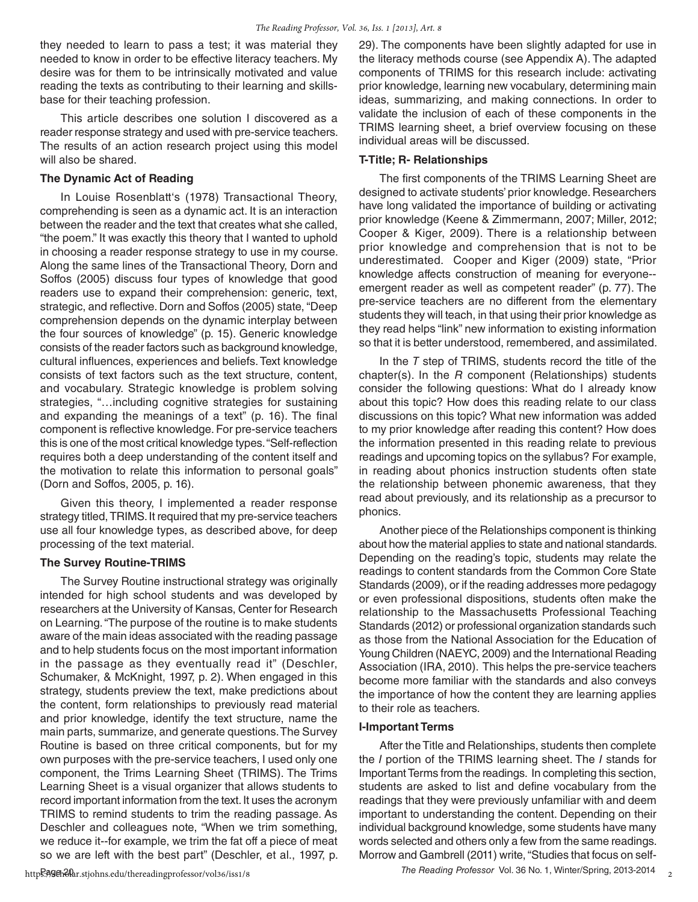they needed to learn to pass a test; it was material they needed to know in order to be effective literacy teachers. My desire was for them to be intrinsically motivated and value reading the texts as contributing to their learning and skillsbase for their teaching profession.

This article describes one solution I discovered as a reader response strategy and used with pre-service teachers. The results of an action research project using this model will also be shared.

#### **The Dynamic Act of Reading**

In Louise Rosenblatt's (1978) Transactional Theory, comprehending is seen as a dynamic act. It is an interaction between the reader and the text that creates what she called, "the poem." It was exactly this theory that I wanted to uphold in choosing a reader response strategy to use in my course. Along the same lines of the Transactional Theory, Dorn and Soffos (2005) discuss four types of knowledge that good readers use to expand their comprehension: generic, text, strategic, and reflective. Dorn and Soffos (2005) state, "Deep comprehension depends on the dynamic interplay between the four sources of knowledge" (p. 15). Generic knowledge consists of the reader factors such as background knowledge, cultural influences, experiences and beliefs. Text knowledge consists of text factors such as the text structure, content, and vocabulary. Strategic knowledge is problem solving strategies, "…including cognitive strategies for sustaining and expanding the meanings of a text" (p. 16). The final component is reflective knowledge. For pre-service teachers this is one of the most critical knowledge types. "Self-reflection requires both a deep understanding of the content itself and the motivation to relate this information to personal goals" (Dorn and Soffos, 2005, p. 16).

Given this theory, I implemented a reader response strategy titled, TRIMS. It required that my pre-service teachers use all four knowledge types, as described above, for deep processing of the text material.

#### **The Survey Routine-TRIMS**

The Survey Routine instructional strategy was originally intended for high school students and was developed by researchers at the University of Kansas, Center for Research on Learning. "The purpose of the routine is to make students aware of the main ideas associated with the reading passage and to help students focus on the most important information in the passage as they eventually read it" (Deschler, Schumaker, & McKnight, 1997, p. 2). When engaged in this strategy, students preview the text, make predictions about the content, form relationships to previously read material and prior knowledge, identify the text structure, name the main parts, summarize, and generate questions. The Survey Routine is based on three critical components, but for my own purposes with the pre-service teachers, I used only one component, the Trims Learning Sheet (TRIMS). The Trims Learning Sheet is a visual organizer that allows students to record important information from the text. It uses the acronym TRIMS to remind students to trim the reading passage. As Deschler and colleagues note, "When we trim something, we reduce it--for example, we trim the fat off a piece of meat so we are left with the best part" (Deschler, et al., 1997, p. 29). The components have been slightly adapted for use in the literacy methods course (see Appendix A). The adapted components of TRIMS for this research include: activating prior knowledge, learning new vocabulary, determining main ideas, summarizing, and making connections. In order to validate the inclusion of each of these components in the TRIMS learning sheet, a brief overview focusing on these individual areas will be discussed.

#### **T-Title; R- Relationships**

The first components of the TRIMS Learning Sheet are designed to activate students' prior knowledge. Researchers have long validated the importance of building or activating prior knowledge (Keene & Zimmermann, 2007; Miller, 2012; Cooper & Kiger, 2009). There is a relationship between prior knowledge and comprehension that is not to be underestimated. Cooper and Kiger (2009) state, "Prior knowledge affects construction of meaning for everyone- emergent reader as well as competent reader" (p. 77). The pre-service teachers are no different from the elementary students they will teach, in that using their prior knowledge as they read helps "link" new information to existing information so that it is better understood, remembered, and assimilated.

In the *T* step of TRIMS, students record the title of the chapter(s). In the *R* component (Relationships) students consider the following questions: What do I already know about this topic? How does this reading relate to our class discussions on this topic? What new information was added to my prior knowledge after reading this content? How does the information presented in this reading relate to previous readings and upcoming topics on the syllabus? For example, in reading about phonics instruction students often state the relationship between phonemic awareness, that they read about previously, and its relationship as a precursor to phonics.

Another piece of the Relationships component is thinking about how the material applies to state and national standards. Depending on the reading's topic, students may relate the readings to content standards from the Common Core State Standards (2009), or if the reading addresses more pedagogy or even professional dispositions, students often make the relationship to the Massachusetts Professional Teaching Standards (2012) or professional organization standards such as those from the National Association for the Education of Young Children (NAEYC, 2009) and the International Reading Association (IRA, 2010). This helps the pre-service teachers become more familiar with the standards and also conveys the importance of how the content they are learning applies to their role as teachers.

#### **I-Important Terms**

After the Title and Relationships, students then complete the *I* portion of the TRIMS learning sheet. The *I* stands for Important Terms from the readings. In completing this section, students are asked to list and define vocabulary from the readings that they were previously unfamiliar with and deem important to understanding the content. Depending on their individual background knowledge, some students have many words selected and others only a few from the same readings. Morrow and Gambrell (2011) write, "Studies that focus on self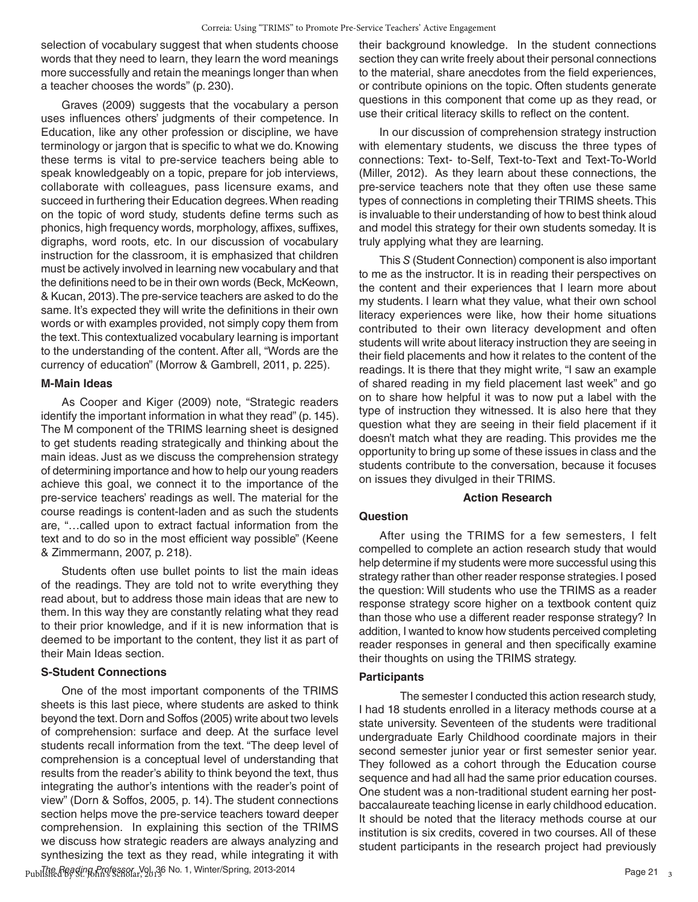selection of vocabulary suggest that when students choose words that they need to learn, they learn the word meanings more successfully and retain the meanings longer than when a teacher chooses the words" (p. 230).

Graves (2009) suggests that the vocabulary a person uses influences others' judgments of their competence. In Education, like any other profession or discipline, we have terminology or jargon that is specific to what we do. Knowing these terms is vital to pre-service teachers being able to speak knowledgeably on a topic, prepare for job interviews, collaborate with colleagues, pass licensure exams, and succeed in furthering their Education degrees. When reading on the topic of word study, students define terms such as phonics, high frequency words, morphology, affixes, suffixes, digraphs, word roots, etc. In our discussion of vocabulary instruction for the classroom, it is emphasized that children must be actively involved in learning new vocabulary and that the definitions need to be in their own words (Beck, McKeown, & Kucan, 2013). The pre-service teachers are asked to do the same. It's expected they will write the definitions in their own words or with examples provided, not simply copy them from the text. This contextualized vocabulary learning is important to the understanding of the content. After all, "Words are the currency of education" (Morrow & Gambrell, 2011, p. 225).

#### **M-Main Ideas**

As Cooper and Kiger (2009) note, "Strategic readers identify the important information in what they read" (p. 145). The M component of the TRIMS learning sheet is designed to get students reading strategically and thinking about the main ideas. Just as we discuss the comprehension strategy of determining importance and how to help our young readers achieve this goal, we connect it to the importance of the pre-service teachers' readings as well. The material for the course readings is content-laden and as such the students are, "…called upon to extract factual information from the text and to do so in the most efficient way possible" (Keene & Zimmermann, 2007, p. 218).

Students often use bullet points to list the main ideas of the readings. They are told not to write everything they read about, but to address those main ideas that are new to them. In this way they are constantly relating what they read to their prior knowledge, and if it is new information that is deemed to be important to the content, they list it as part of their Main Ideas section.

#### **S-Student Connections**

Published by St. Band Professor, Vol. 36 No. 1, Winter/Spring, 2013-2014 **Published and Contact Contact Page 21** Page 21 One of the most important components of the TRIMS sheets is this last piece, where students are asked to think beyond the text. Dorn and Soffos (2005) write about two levels of comprehension: surface and deep. At the surface level students recall information from the text. "The deep level of comprehension is a conceptual level of understanding that results from the reader's ability to think beyond the text, thus integrating the author's intentions with the reader's point of view" (Dorn & Soffos, 2005, p. 14). The student connections section helps move the pre-service teachers toward deeper comprehension. In explaining this section of the TRIMS we discuss how strategic readers are always analyzing and synthesizing the text as they read, while integrating it with

their background knowledge. In the student connections section they can write freely about their personal connections to the material, share anecdotes from the field experiences, or contribute opinions on the topic. Often students generate questions in this component that come up as they read, or use their critical literacy skills to reflect on the content.

In our discussion of comprehension strategy instruction with elementary students, we discuss the three types of connections: Text- to-Self, Text-to-Text and Text-To-World (Miller, 2012). As they learn about these connections, the pre-service teachers note that they often use these same types of connections in completing their TRIMS sheets. This is invaluable to their understanding of how to best think aloud and model this strategy for their own students someday. It is truly applying what they are learning.

This *S* (Student Connection) component is also important to me as the instructor. It is in reading their perspectives on the content and their experiences that I learn more about my students. I learn what they value, what their own school literacy experiences were like, how their home situations contributed to their own literacy development and often students will write about literacy instruction they are seeing in their field placements and how it relates to the content of the readings. It is there that they might write, "I saw an example of shared reading in my field placement last week" and go on to share how helpful it was to now put a label with the type of instruction they witnessed. It is also here that they question what they are seeing in their field placement if it doesn't match what they are reading. This provides me the opportunity to bring up some of these issues in class and the students contribute to the conversation, because it focuses on issues they divulged in their TRIMS.

#### **Action Research**

#### **Question**

After using the TRIMS for a few semesters, I felt compelled to complete an action research study that would help determine if my students were more successful using this strategy rather than other reader response strategies. I posed the question: Will students who use the TRIMS as a reader response strategy score higher on a textbook content quiz than those who use a different reader response strategy? In addition, I wanted to know how students perceived completing reader responses in general and then specifically examine their thoughts on using the TRIMS strategy.

#### **Participants**

The semester I conducted this action research study, I had 18 students enrolled in a literacy methods course at a state university. Seventeen of the students were traditional undergraduate Early Childhood coordinate majors in their second semester junior year or first semester senior year. They followed as a cohort through the Education course sequence and had all had the same prior education courses. One student was a non-traditional student earning her postbaccalaureate teaching license in early childhood education. It should be noted that the literacy methods course at our institution is six credits, covered in two courses. All of these student participants in the research project had previously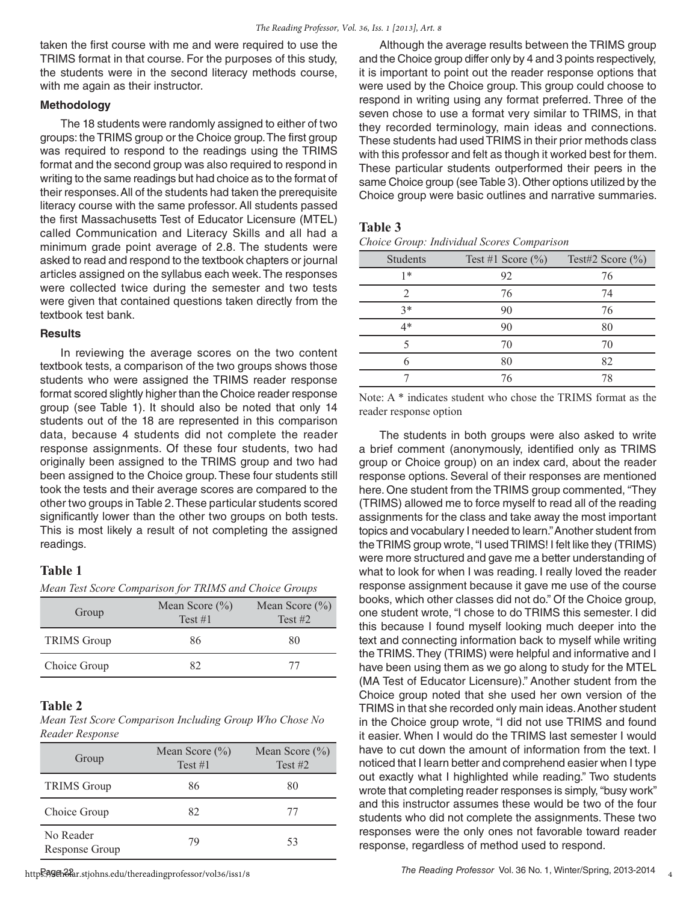taken the first course with me and were required to use the TRIMS format in that course. For the purposes of this study, the students were in the second literacy methods course, with me again as their instructor.

#### **Methodology**

The 18 students were randomly assigned to either of two groups: the TRIMS group or the Choice group. The first group was required to respond to the readings using the TRIMS format and the second group was also required to respond in writing to the same readings but had choice as to the format of their responses. All of the students had taken the prerequisite literacy course with the same professor. All students passed the first Massachusetts Test of Educator Licensure (MTEL) called Communication and Literacy Skills and all had a minimum grade point average of 2.8. The students were asked to read and respond to the textbook chapters or journal articles assigned on the syllabus each week. The responses were collected twice during the semester and two tests were given that contained questions taken directly from the textbook test bank.

#### **Results**

In reviewing the average scores on the two content textbook tests, a comparison of the two groups shows those students who were assigned the TRIMS reader response format scored slightly higher than the Choice reader response group (see Table 1). It should also be noted that only 14 students out of the 18 are represented in this comparison data, because 4 students did not complete the reader response assignments. Of these four students, two had originally been assigned to the TRIMS group and two had been assigned to the Choice group. These four students still took the tests and their average scores are compared to the other two groups in Table 2. These particular students scored significantly lower than the other two groups on both tests. This is most likely a result of not completing the assigned readings.

#### **Table 1**

*Mean Test Score Comparison for TRIMS and Choice Groups*

| Group              | Mean Score $(\% )$<br>Test #1 | Mean Score $(\% )$<br>Test $#2$ |
|--------------------|-------------------------------|---------------------------------|
| <b>TRIMS</b> Group | 86                            | 80                              |
| Choice Group       | 87                            | 77                              |

# **Table 2**

*Mean Test Score Comparison Including Group Who Chose No Reader Response* 

| Group                       | Mean Score $(\% )$<br>Test #1 | Mean Score $(\% )$<br>Test $#2$ |
|-----------------------------|-------------------------------|---------------------------------|
| <b>TRIMS Group</b>          | 86                            | 80                              |
| Choice Group                | 82                            | 77                              |
| No Reader<br>Response Group | 79                            | 53                              |

Although the average results between the TRIMS group and the Choice group differ only by 4 and 3 points respectively, it is important to point out the reader response options that were used by the Choice group. This group could choose to respond in writing using any format preferred. Three of the seven chose to use a format very similar to TRIMS, in that they recorded terminology, main ideas and connections. These students had used TRIMS in their prior methods class with this professor and felt as though it worked best for them. These particular students outperformed their peers in the same Choice group (see Table 3). Other options utilized by the Choice group were basic outlines and narrative summaries.

#### **Table 3**

| Students | Test #1 Score $(\%)$ | Test#2 Score $(\% )$ |
|----------|----------------------|----------------------|
| 1*       | 92                   | 76                   |
| 2        | 76                   | 74                   |
| $3*$     | 90                   | 76                   |
| $4*$     | 90                   | 80                   |
|          | 70                   | 70                   |
|          | 80                   | 82                   |
|          | 76                   | 78                   |

Note: A \* indicates student who chose the TRIMS format as the reader response option

The students in both groups were also asked to write a brief comment (anonymously, identified only as TRIMS group or Choice group) on an index card, about the reader response options. Several of their responses are mentioned here. One student from the TRIMS group commented, "They (TRIMS) allowed me to force myself to read all of the reading assignments for the class and take away the most important topics and vocabulary I needed to learn." Another student from the TRIMS group wrote, "I used TRIMS! I felt like they (TRIMS) were more structured and gave me a better understanding of what to look for when I was reading. I really loved the reader response assignment because it gave me use of the course books, which other classes did not do." Of the Choice group, one student wrote, "I chose to do TRIMS this semester. I did this because I found myself looking much deeper into the text and connecting information back to myself while writing the TRIMS. They (TRIMS) were helpful and informative and I have been using them as we go along to study for the MTEL (MA Test of Educator Licensure)." Another student from the Choice group noted that she used her own version of the TRIMS in that she recorded only main ideas. Another student in the Choice group wrote, "I did not use TRIMS and found it easier. When I would do the TRIMS last semester I would have to cut down the amount of information from the text. I noticed that I learn better and comprehend easier when I type out exactly what I highlighted while reading." Two students wrote that completing reader responses is simply, "busy work" and this instructor assumes these would be two of the four students who did not complete the assignments. These two responses were the only ones not favorable toward reader response, regardless of method used to respond.

https://ageh&far.stjohns.edu/thereadingprofessor/vol36/iss1/8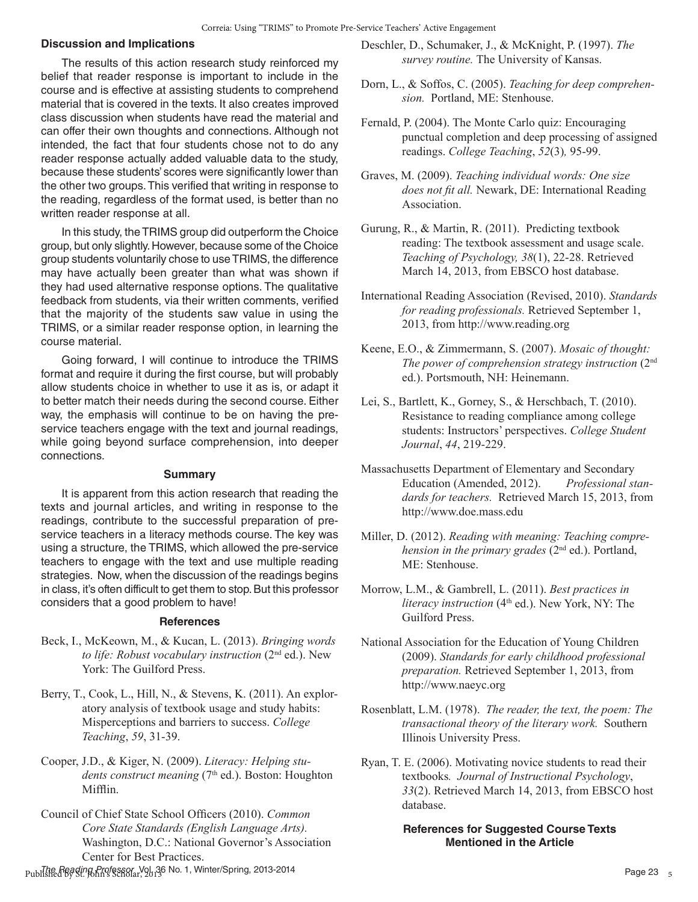#### **Discussion and Implications**

The results of this action research study reinforced my belief that reader response is important to include in the course and is effective at assisting students to comprehend material that is covered in the texts. It also creates improved class discussion when students have read the material and can offer their own thoughts and connections. Although not intended, the fact that four students chose not to do any reader response actually added valuable data to the study, because these students' scores were significantly lower than the other two groups. This verified that writing in response to the reading, regardless of the format used, is better than no written reader response at all.

In this study, the TRIMS group did outperform the Choice group, but only slightly. However, because some of the Choice group students voluntarily chose to use TRIMS, the difference may have actually been greater than what was shown if they had used alternative response options. The qualitative feedback from students, via their written comments, verified that the majority of the students saw value in using the TRIMS, or a similar reader response option, in learning the course material.

Going forward, I will continue to introduce the TRIMS format and require it during the first course, but will probably allow students choice in whether to use it as is, or adapt it to better match their needs during the second course. Either way, the emphasis will continue to be on having the preservice teachers engage with the text and journal readings, while going beyond surface comprehension, into deeper connections.

#### **Summary**

It is apparent from this action research that reading the texts and journal articles, and writing in response to the readings, contribute to the successful preparation of preservice teachers in a literacy methods course. The key was using a structure, the TRIMS, which allowed the pre-service teachers to engage with the text and use multiple reading strategies. Now, when the discussion of the readings begins in class, it's often difficult to get them to stop. But this professor considers that a good problem to have!

#### **References**

- Beck, I., McKeown, M., & Kucan, L. (2013). *Bringing words*  to life: Robust vocabulary instruction (2<sup>nd</sup> ed.). New York: The Guilford Press.
- Berry, T., Cook, L., Hill, N., & Stevens, K. (2011). An exploratory analysis of textbook usage and study habits: Misperceptions and barriers to success. *College Teaching*, *59*, 31-39.
- Cooper, J.D., & Kiger, N. (2009). *Literacy: Helping stu*dents construct meaning (7<sup>th</sup> ed.). Boston: Houghton Miffin.
- Council of Chief State School Officers (2010). *Common Core State Standards (English Language Arts).* Washington, D.C.: National Governor's Association Center for Best Practices.

Published by St. Band Professor, Vol. 36 No. 1, Winter/Spring, 2013-2014 **Page 23** Page 23

- Deschler, D., Schumaker, J., & McKnight, P. (1997). *The survey routine.* The University of Kansas.
- Dorn, L., & Soffos, C. (2005). *Teaching for deep comprehension.* Portland, ME: Stenhouse.
- Fernald, P. (2004). The Monte Carlo quiz: Encouraging punctual completion and deep processing of assigned readings. *College Teaching*, *52*(3)*,* 95-99.
- Graves, M. (2009). *Teaching individual words: One size does not ft all.* Newark, DE: International Reading Association.
- Gurung, R., & Martin, R. (2011). Predicting textbook reading: The textbook assessment and usage scale. *Teaching of Psychology, 38*(1), 22-28. Retrieved March 14, 2013, from EBSCO host database.
- International Reading Association (Revised, 2010). *Standards for reading professionals.* Retrieved September 1, 2013, from http://www.reading.org
- Keene, E.O., & Zimmermann, S. (2007). *Mosaic of thought: The power of comprehension strategy instruction* (2nd ed.). Portsmouth, NH: Heinemann.
- Lei, S., Bartlett, K., Gorney, S., & Herschbach, T. (2010). Resistance to reading compliance among college students: Instructors' perspectives. *College Student Journal*, *44*, 219-229.
- Massachusetts Department of Elementary and Secondary Education (Amended, 2012). *Professional standards for teachers.* Retrieved March 15, 2013, from http://www.doe.mass.edu
- Miller, D. (2012). *Reading with meaning: Teaching comprehension in the primary grades* (2<sup>nd</sup> ed.). Portland, ME: Stenhouse.
- Morrow, L.M., & Gambrell, L. (2011). *Best practices in literacy instruction* (4<sup>th</sup> ed.). New York, NY: The Guilford Press.
- National Association for the Education of Young Children (2009). *Standards for early childhood professional preparation.* Retrieved September 1, 2013, from http://www.naeyc.org
- Rosenblatt, L.M. (1978). *The reader, the text, the poem: The transactional theory of the literary work.* Southern Illinois University Press.
- Ryan, T. E. (2006). Motivating novice students to read their textbooks*. Journal of Instructional Psychology*, *33*(2). Retrieved March 14, 2013, from EBSCO host database.

## **References for Suggested Course Texts Mentioned in the Article**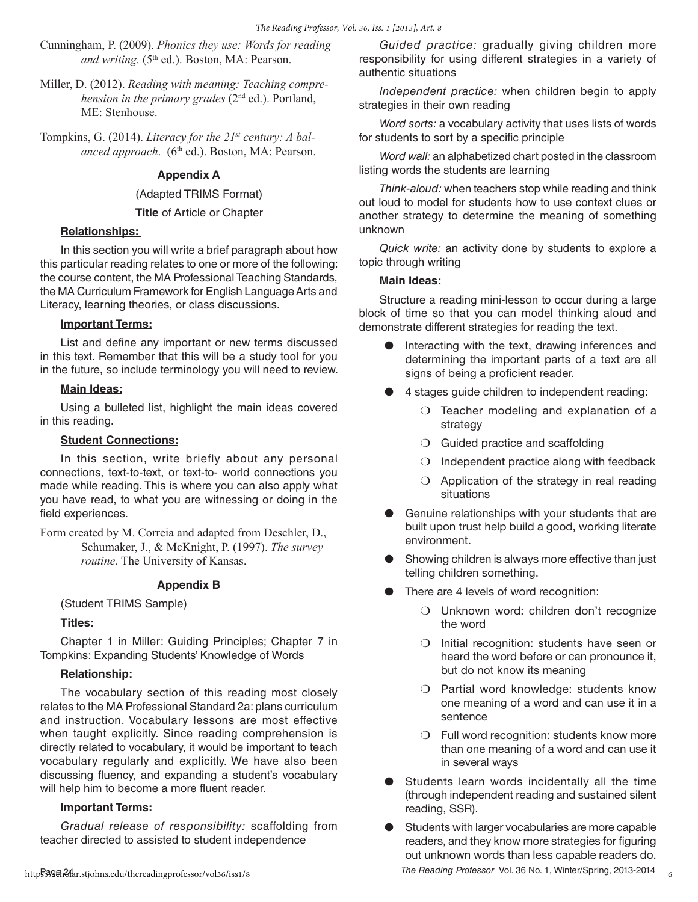- Cunningham, P. (2009). *Phonics they use: Words for reading and writing.* (5<sup>th</sup> ed.). Boston, MA: Pearson.
- Miller, D. (2012). *Reading with meaning: Teaching comprehension in the primary grades* (2<sup>nd</sup> ed.). Portland, ME: Stenhouse.
- Tompkins, G. (2014). *Literacy for the 21st century: A bal*anced approach. (6<sup>th</sup> ed.). Boston, MA: Pearson.

# **Appendix A**

#### (Adapted TRIMS Format)

**Title** of Article or Chapter

## **Relationships:**

In this section you will write a brief paragraph about how this particular reading relates to one or more of the following: the course content, the MA Professional Teaching Standards, the MA Curriculum Framework for English Language Arts and Literacy, learning theories, or class discussions.

#### **Important Terms:**

List and define any important or new terms discussed in this text. Remember that this will be a study tool for you in the future, so include terminology you will need to review.

#### **Main Ideas:**

Using a bulleted list, highlight the main ideas covered in this reading.

### **Student Connections:**

In this section, write briefly about any personal connections, text-to-text, or text-to- world connections you made while reading. This is where you can also apply what you have read, to what you are witnessing or doing in the field experiences.

Form created by M. Correia and adapted from Deschler, D., Schumaker, J., & McKnight, P. (1997). *The survey routine*. The University of Kansas.

#### **Appendix B**

#### (Student TRIMS Sample)

## **Titles:**

Chapter 1 in Miller: Guiding Principles; Chapter 7 in Tompkins: Expanding Students' Knowledge of Words

#### **Relationship:**

The vocabulary section of this reading most closely relates to the MA Professional Standard 2a: plans curriculum and instruction. Vocabulary lessons are most effective when taught explicitly. Since reading comprehension is directly related to vocabulary, it would be important to teach vocabulary regularly and explicitly. We have also been discussing fluency, and expanding a student's vocabulary will help him to become a more fluent reader.

#### **Important Terms:**

*Gradual release of responsibility:* scaffolding from teacher directed to assisted to student independence

*Guided practice:* gradually giving children more responsibility for using different strategies in a variety of authentic situations

*Independent practice:* when children begin to apply strategies in their own reading

*Word sorts:* a vocabulary activity that uses lists of words for students to sort by a specific principle

*Word wall:* an alphabetized chart posted in the classroom listing words the students are learning

*Think-aloud:* when teachers stop while reading and think out loud to model for students how to use context clues or another strategy to determine the meaning of something unknown

*Quick write:* an activity done by students to explore a topic through writing

#### **Main Ideas:**

Structure a reading mini-lesson to occur during a large block of time so that you can model thinking aloud and demonstrate different strategies for reading the text.

- Interacting with the text, drawing inferences and determining the important parts of a text are all signs of being a proficient reader.
- 4 stages guide children to independent reading:
	- ❍ Teacher modeling and explanation of a strategy
	- ❍ Guided practice and scaffolding
	- ❍ Independent practice along with feedback
	- O Application of the strategy in real reading situations
- Genuine relationships with your students that are built upon trust help build a good, working literate environment.
- Showing children is always more effective than just telling children something.
- There are 4 levels of word recognition:
	- ❍ Unknown word: children don't recognize the word
	- ❍ Initial recognition: students have seen or heard the word before or can pronounce it, but do not know its meaning
	- ❍ Partial word knowledge: students know one meaning of a word and can use it in a sentence
	- ❍ Full word recognition: students know more than one meaning of a word and can use it in several ways
- Students learn words incidentally all the time (through independent reading and sustained silent reading, SSR).
- Page 24 *The Reading Professor* Vol. 36 No. 1, Winter/Spring, 2013-2014 Students with larger vocabularies are more capable readers, and they know more strategies for figuring out unknown words than less capable readers do.